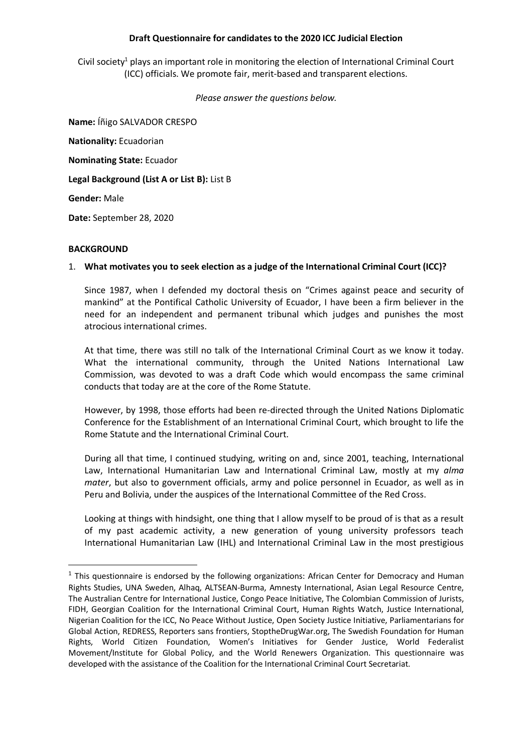## **Draft Questionnaire for candidates to the 2020 ICC Judicial Election**

Civil society<sup>1</sup> plays an important role in monitoring the election of International Criminal Court (ICC) officials. We promote fair, merit-based and transparent elections.

*Please answer the questions below.*

**Name:** Íñigo SALVADOR CRESPO **Nationality:** Ecuadorian **Nominating State:** Ecuador **Legal Background (List A or List B):** List B **Gender:** Male **Date:** September 28, 2020

#### **BACKGROUND**

 $\overline{a}$ 

## 1. **What motivates you to seek election as a judge of the International Criminal Court (ICC)?**

Since 1987, when I defended my doctoral thesis on "Crimes against peace and security of mankind" at the Pontifical Catholic University of Ecuador, I have been a firm believer in the need for an independent and permanent tribunal which judges and punishes the most atrocious international crimes.

At that time, there was still no talk of the International Criminal Court as we know it today. What the international community, through the United Nations International Law Commission, was devoted to was a draft Code which would encompass the same criminal conducts that today are at the core of the Rome Statute.

However, by 1998, those efforts had been re-directed through the United Nations Diplomatic Conference for the Establishment of an International Criminal Court, which brought to life the Rome Statute and the International Criminal Court.

During all that time, I continued studying, writing on and, since 2001, teaching, International Law, International Humanitarian Law and International Criminal Law, mostly at my *alma mater*, but also to government officials, army and police personnel in Ecuador, as well as in Peru and Bolivia, under the auspices of the International Committee of the Red Cross.

Looking at things with hindsight, one thing that I allow myself to be proud of is that as a result of my past academic activity, a new generation of young university professors teach International Humanitarian Law (IHL) and International Criminal Law in the most prestigious

<sup>&</sup>lt;sup>1</sup> This questionnaire is endorsed by the following organizations: African Center for Democracy and Human Rights Studies, UNA Sweden, Alhaq, ALTSEAN-Burma, Amnesty International, Asian Legal Resource Centre, The Australian Centre for International Justice, Congo Peace Initiative, The Colombian Commission of Jurists, FIDH, Georgian Coalition for the International Criminal Court, Human Rights Watch, Justice International, Nigerian Coalition for the ICC, No Peace Without Justice, Open Society Justice Initiative, Parliamentarians for Global Action, REDRESS, Reporters sans frontiers, StoptheDrugWar.org, The Swedish Foundation for Human Rights, World Citizen Foundation, Women's Initiatives for Gender Justice, World Federalist Movement/Institute for Global Policy, and the World Renewers Organization. This questionnaire was developed with the assistance of the Coalition for the International Criminal Court Secretariat.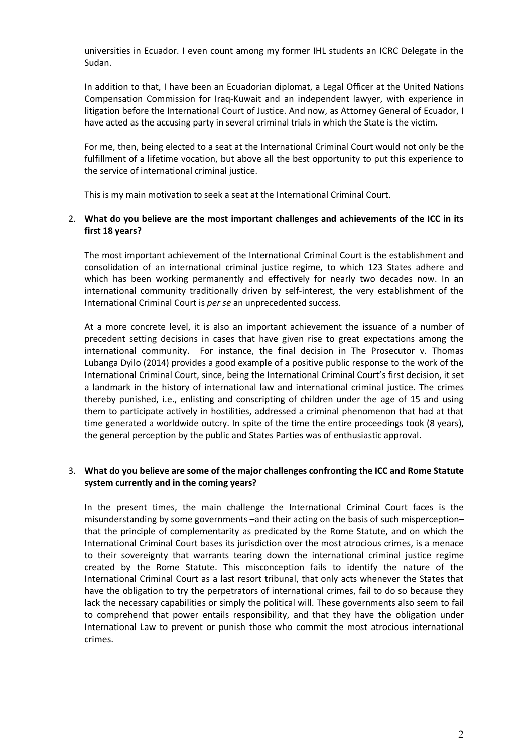universities in Ecuador. I even count among my former IHL students an ICRC Delegate in the Sudan.

In addition to that, I have been an Ecuadorian diplomat, a Legal Officer at the United Nations Compensation Commission for Iraq-Kuwait and an independent lawyer, with experience in litigation before the International Court of Justice. And now, as Attorney General of Ecuador, I have acted as the accusing party in several criminal trials in which the State is the victim.

For me, then, being elected to a seat at the International Criminal Court would not only be the fulfillment of a lifetime vocation, but above all the best opportunity to put this experience to the service of international criminal justice.

This is my main motivation to seek a seat at the International Criminal Court.

# 2. **What do you believe are the most important challenges and achievements of the ICC in its first 18 years?**

The most important achievement of the International Criminal Court is the establishment and consolidation of an international criminal justice regime, to which 123 States adhere and which has been working permanently and effectively for nearly two decades now. In an international community traditionally driven by self-interest, the very establishment of the International Criminal Court is *per se* an unprecedented success.

At a more concrete level, it is also an important achievement the issuance of a number of precedent setting decisions in cases that have given rise to great expectations among the international community. For instance, the final decision in The Prosecutor v. Thomas Lubanga Dyilo (2014) provides a good example of a positive public response to the work of the International Criminal Court, since, being the International Criminal Court's first decision, it set a landmark in the history of international law and international criminal justice. The crimes thereby punished, i.e., enlisting and conscripting of children under the age of 15 and using them to participate actively in hostilities, addressed a criminal phenomenon that had at that time generated a worldwide outcry. In spite of the time the entire proceedings took (8 years), the general perception by the public and States Parties was of enthusiastic approval.

# 3. **What do you believe are some of the major challenges confronting the ICC and Rome Statute system currently and in the coming years?**

In the present times, the main challenge the International Criminal Court faces is the misunderstanding by some governments –and their acting on the basis of such misperception– that the principle of complementarity as predicated by the Rome Statute, and on which the International Criminal Court bases its jurisdiction over the most atrocious crimes, is a menace to their sovereignty that warrants tearing down the international criminal justice regime created by the Rome Statute. This misconception fails to identify the nature of the International Criminal Court as a last resort tribunal, that only acts whenever the States that have the obligation to try the perpetrators of international crimes, fail to do so because they lack the necessary capabilities or simply the political will. These governments also seem to fail to comprehend that power entails responsibility, and that they have the obligation under International Law to prevent or punish those who commit the most atrocious international crimes.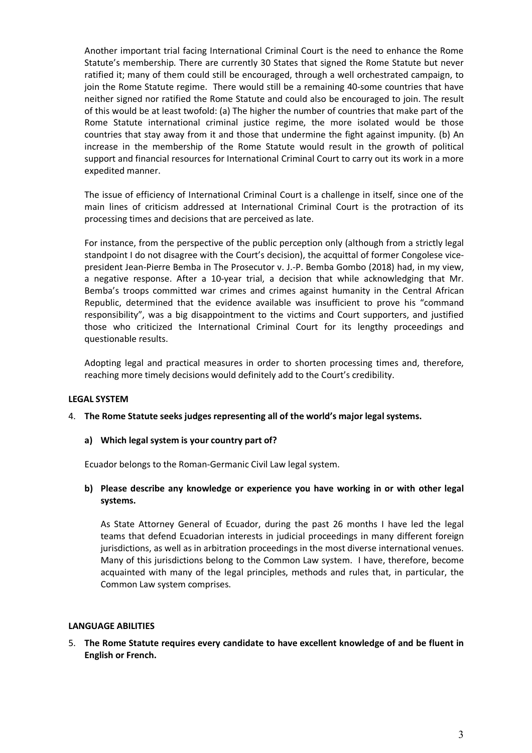Another important trial facing International Criminal Court is the need to enhance the Rome Statute's membership. There are currently 30 States that signed the Rome Statute but never ratified it; many of them could still be encouraged, through a well orchestrated campaign, to join the Rome Statute regime. There would still be a remaining 40-some countries that have neither signed nor ratified the Rome Statute and could also be encouraged to join. The result of this would be at least twofold: (a) The higher the number of countries that make part of the Rome Statute international criminal justice regime, the more isolated would be those countries that stay away from it and those that undermine the fight against impunity. (b) An increase in the membership of the Rome Statute would result in the growth of political support and financial resources for International Criminal Court to carry out its work in a more expedited manner.

The issue of efficiency of International Criminal Court is a challenge in itself, since one of the main lines of criticism addressed at International Criminal Court is the protraction of its processing times and decisions that are perceived as late.

For instance, from the perspective of the public perception only (although from a strictly legal standpoint I do not disagree with the Court's decision), the acquittal of former Congolese vicepresident Jean-Pierre Bemba in The Prosecutor v. J.-P. Bemba Gombo (2018) had, in my view, a negative response. After a 10-year trial, a decision that while acknowledging that Mr. Bemba's troops committed war crimes and crimes against humanity in the Central African Republic, determined that the evidence available was insufficient to prove his "command responsibility", was a big disappointment to the victims and Court supporters, and justified those who criticized the International Criminal Court for its lengthy proceedings and questionable results.

Adopting legal and practical measures in order to shorten processing times and, therefore, reaching more timely decisions would definitely add to the Court's credibility.

## **LEGAL SYSTEM**

## 4. **The Rome Statute seeks judges representing all of the world's major legal systems.**

**a) Which legal system is your country part of?**

Ecuador belongs to the Roman-Germanic Civil Law legal system.

## **b) Please describe any knowledge or experience you have working in or with other legal systems.**

As State Attorney General of Ecuador, during the past 26 months I have led the legal teams that defend Ecuadorian interests in judicial proceedings in many different foreign jurisdictions, as well as in arbitration proceedings in the most diverse international venues. Many of this jurisdictions belong to the Common Law system. I have, therefore, become acquainted with many of the legal principles, methods and rules that, in particular, the Common Law system comprises.

#### **LANGUAGE ABILITIES**

5. **The Rome Statute requires every candidate to have excellent knowledge of and be fluent in English or French.**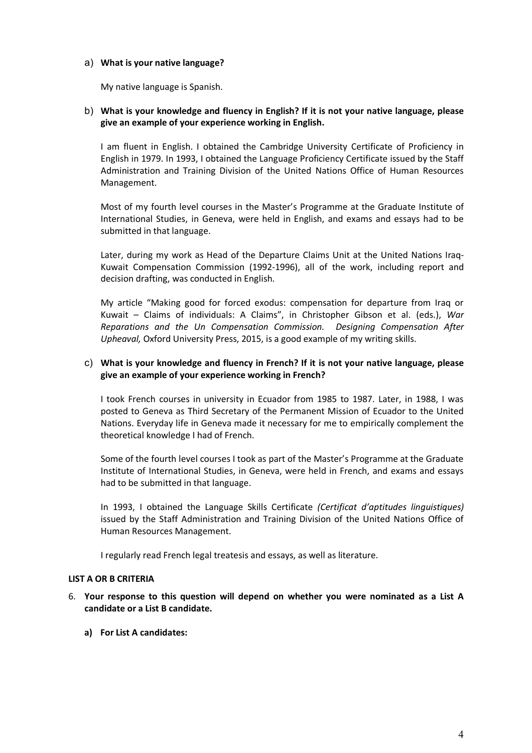## a) **What is your native language?**

My native language is Spanish.

# b) **What is your knowledge and fluency in English? If it is not your native language, please give an example of your experience working in English.**

I am fluent in English. I obtained the Cambridge University Certificate of Proficiency in English in 1979. In 1993, I obtained the Language Proficiency Certificate issued by the Staff Administration and Training Division of the United Nations Office of Human Resources Management.

Most of my fourth level courses in the Master's Programme at the Graduate Institute of International Studies, in Geneva, were held in English, and exams and essays had to be submitted in that language.

Later, during my work as Head of the Departure Claims Unit at the United Nations Iraq-Kuwait Compensation Commission (1992-1996), all of the work, including report and decision drafting, was conducted in English.

My article "Making good for forced exodus: compensation for departure from Iraq or Kuwait – Claims of individuals: A Claims", in Christopher Gibson et al. (eds.), *War Reparations and the Un Compensation Commission. Designing Compensation After Upheaval,* Oxford University Press, 2015, is a good example of my writing skills.

# c) **What is your knowledge and fluency in French? If it is not your native language, please give an example of your experience working in French?**

I took French courses in university in Ecuador from 1985 to 1987. Later, in 1988, I was posted to Geneva as Third Secretary of the Permanent Mission of Ecuador to the United Nations. Everyday life in Geneva made it necessary for me to empirically complement the theoretical knowledge I had of French.

Some of the fourth level courses I took as part of the Master's Programme at the Graduate Institute of International Studies, in Geneva, were held in French, and exams and essays had to be submitted in that language.

In 1993, I obtained the Language Skills Certificate *(Certificat d'aptitudes linguistiques)* issued by the Staff Administration and Training Division of the United Nations Office of Human Resources Management.

I regularly read French legal treatesis and essays, as well as literature.

# **LIST A OR B CRITERIA**

- 6. **Your response to this question will depend on whether you were nominated as a List A candidate or a List B candidate.** 
	- **a) For List A candidates:**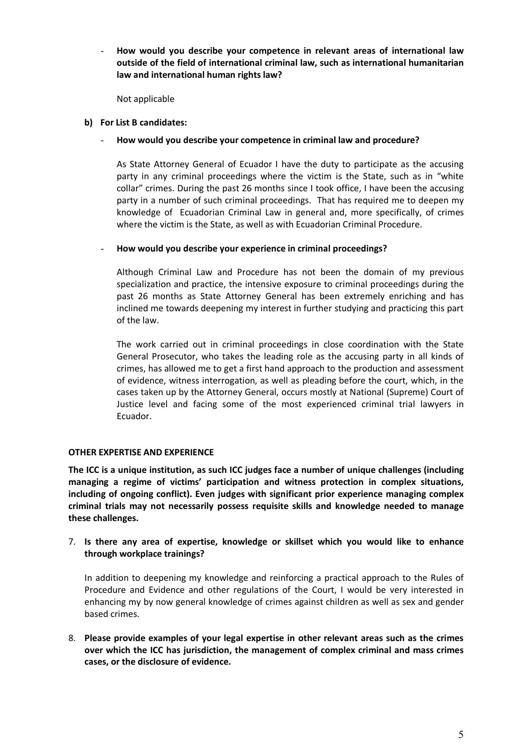- **How would you describe your competence in relevant areas of international law outside of the field of international criminal law, such as international humanitarian law and international human rights law?**

Not applicable

#### **b) For List B candidates:**

#### - **How would you describe your competence in criminal law and procedure?**

As State Attorney General of Ecuador I have the duty to participate as the accusing party in any criminal proceedings where the victim is the State, such as in "white collar" crimes. During the past 26 months since I took office, I have been the accusing party in a number of such criminal proceedings. That has required me to deepen my knowledge of Ecuadorian Criminal Law in general and, more specifically, of crimes where the victim is the State, as well as with Ecuadorian Criminal Procedure.

## - **How would you describe your experience in criminal proceedings?**

Although Criminal Law and Procedure has not been the domain of my previous specialization and practice, the intensive exposure to criminal proceedings during the past 26 months as State Attorney General has been extremely enriching and has inclined me towards deepening my interest in further studying and practicing this part of the law.

The work carried out in criminal proceedings in close coordination with the State General Prosecutor, who takes the leading role as the accusing party in all kinds of crimes, has allowed me to get a first hand approach to the production and assessment of evidence, witness interrogation, as well as pleading before the court, which, in the cases taken up by the Attorney General, occurs mostly at National (Supreme) Court of Justice level and facing some of the most experienced criminal trial lawyers in Ecuador.

## **OTHER EXPERTISE AND EXPERIENCE**

**The ICC is a unique institution, as such ICC judges face a number of unique challenges (including managing a regime of victims' participation and witness protection in complex situations, including of ongoing conflict). Even judges with significant prior experience managing complex criminal trials may not necessarily possess requisite skills and knowledge needed to manage these challenges.** 

## 7. **Is there any area of expertise, knowledge or skillset which you would like to enhance through workplace trainings?**

In addition to deepening my knowledge and reinforcing a practical approach to the Rules of Procedure and Evidence and other regulations of the Court, I would be very interested in enhancing my by now general knowledge of crimes against children as well as sex and gender based crimes.

8. **Please provide examples of your legal expertise in other relevant areas such as the crimes over which the ICC has jurisdiction, the management of complex criminal and mass crimes cases, or the disclosure of evidence.**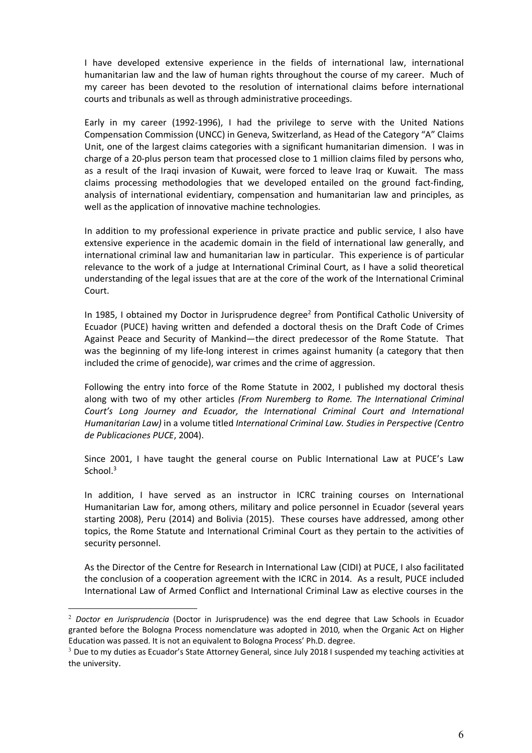I have developed extensive experience in the fields of international law, international humanitarian law and the law of human rights throughout the course of my career. Much of my career has been devoted to the resolution of international claims before international courts and tribunals as well as through administrative proceedings.

Early in my career (1992-1996), I had the privilege to serve with the United Nations Compensation Commission (UNCC) in Geneva, Switzerland, as Head of the Category "A" Claims Unit, one of the largest claims categories with a significant humanitarian dimension. I was in charge of a 20-plus person team that processed close to 1 million claims filed by persons who, as a result of the Iraqi invasion of Kuwait, were forced to leave Iraq or Kuwait. The mass claims processing methodologies that we developed entailed on the ground fact-finding, analysis of international evidentiary, compensation and humanitarian law and principles, as well as the application of innovative machine technologies.

In addition to my professional experience in private practice and public service, I also have extensive experience in the academic domain in the field of international law generally, and international criminal law and humanitarian law in particular. This experience is of particular relevance to the work of a judge at International Criminal Court, as I have a solid theoretical understanding of the legal issues that are at the core of the work of the International Criminal Court.

In 1985, I obtained my Doctor in Jurisprudence degree<sup>2</sup> from Pontifical Catholic University of Ecuador (PUCE) having written and defended a doctoral thesis on the Draft Code of Crimes Against Peace and Security of Mankind—the direct predecessor of the Rome Statute. That was the beginning of my life-long interest in crimes against humanity (a category that then included the crime of genocide), war crimes and the crime of aggression.

Following the entry into force of the Rome Statute in 2002, I published my doctoral thesis along with two of my other articles *(From Nuremberg to Rome. The International Criminal Court's Long Journey and Ecuador, the International Criminal Court and International Humanitarian Law)* in a volume titled *International Criminal Law. Studies in Perspective (Centro de Publicaciones PUCE*, 2004).

Since 2001, I have taught the general course on Public International Law at PUCE's Law School.<sup>3</sup>

In addition, I have served as an instructor in ICRC training courses on International Humanitarian Law for, among others, military and police personnel in Ecuador (several years starting 2008), Peru (2014) and Bolivia (2015). These courses have addressed, among other topics, the Rome Statute and International Criminal Court as they pertain to the activities of security personnel.

As the Director of the Centre for Research in International Law (CIDI) at PUCE, I also facilitated the conclusion of a cooperation agreement with the ICRC in 2014. As a result, PUCE included International Law of Armed Conflict and International Criminal Law as elective courses in the

 <sup>2</sup> *Doctor en Jurisprudencia* (Doctor in Jurisprudence) was the end degree that Law Schools in Ecuador granted before the Bologna Process nomenclature was adopted in 2010, when the Organic Act on Higher Education was passed. It is not an equivalent to Bologna Process' Ph.D. degree.

<sup>&</sup>lt;sup>3</sup> Due to my duties as Ecuador's State Attorney General, since July 2018 I suspended my teaching activities at the university.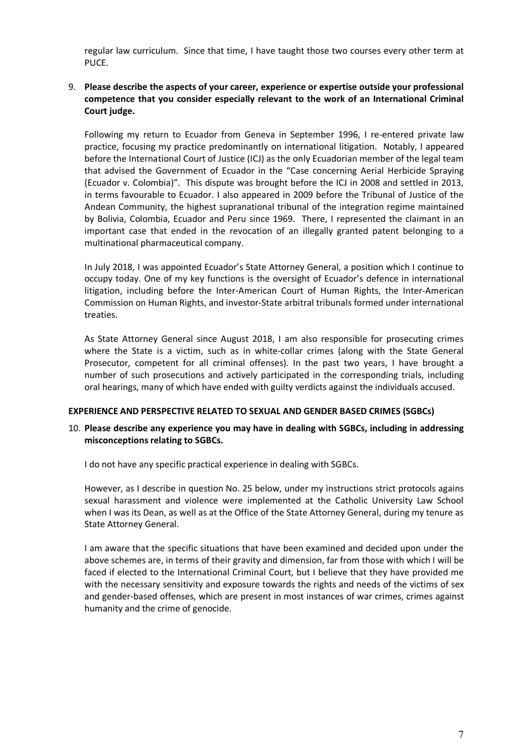regular law curriculum. Since that time, I have taught those two courses every other term at PUCE.

# 9. **Please describe the aspects of your career, experience or expertise outside your professional competence that you consider especially relevant to the work of an International Criminal Court judge.**

Following my return to Ecuador from Geneva in September 1996, I re-entered private law practice, focusing my practice predominantly on international litigation. Notably, I appeared before the International Court of Justice (ICJ) as the only Ecuadorian member of the legal team that advised the Government of Ecuador in the "Case concerning Aerial Herbicide Spraying (Ecuador v. Colombia)". This dispute was brought before the ICJ in 2008 and settled in 2013, in terms favourable to Ecuador. I also appeared in 2009 before the Tribunal of Justice of the Andean Community, the highest supranational tribunal of the integration regime maintained by Bolivia, Colombia, Ecuador and Peru since 1969. There, I represented the claimant in an important case that ended in the revocation of an illegally granted patent belonging to a multinational pharmaceutical company.

In July 2018, I was appointed Ecuador's State Attorney General, a position which I continue to occupy today. One of my key functions is the oversight of Ecuador's defence in international litigation, including before the Inter-American Court of Human Rights, the Inter-American Commission on Human Rights, and investor-State arbitral tribunals formed under international treaties.

As State Attorney General since August 2018, I am also responsible for prosecuting crimes where the State is a victim, such as in white-collar crimes (along with the State General Prosecutor, competent for all criminal offenses). In the past two years, I have brought a number of such prosecutions and actively participated in the corresponding trials, including oral hearings, many of which have ended with guilty verdicts against the individuals accused.

## **EXPERIENCE AND PERSPECTIVE RELATED TO SEXUAL AND GENDER BASED CRIMES (SGBCs)**

## 10. **Please describe any experience you may have in dealing with SGBCs, including in addressing misconceptions relating to SGBCs.**

I do not have any specific practical experience in dealing with SGBCs.

However, as I describe in question No. 25 below, under my instructions strict protocols agains sexual harassment and violence were implemented at the Catholic University Law School when I was its Dean, as well as at the Office of the State Attorney General, during my tenure as State Attorney General.

I am aware that the specific situations that have been examined and decided upon under the above schemes are, in terms of their gravity and dimension, far from those with which I will be faced if elected to the International Criminal Court, but I believe that they have provided me with the necessary sensitivity and exposure towards the rights and needs of the victims of sex and gender-based offenses, which are present in most instances of war crimes, crimes against humanity and the crime of genocide.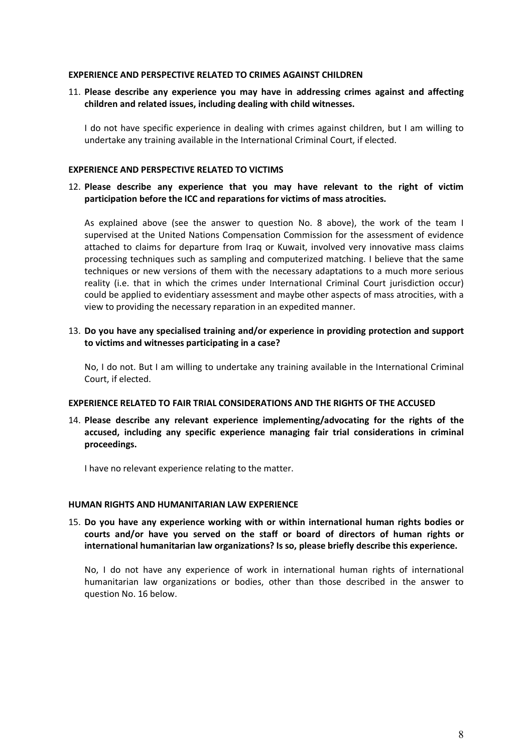#### **EXPERIENCE AND PERSPECTIVE RELATED TO CRIMES AGAINST CHILDREN**

11. **Please describe any experience you may have in addressing crimes against and affecting children and related issues, including dealing with child witnesses.** 

I do not have specific experience in dealing with crimes against children, but I am willing to undertake any training available in the International Criminal Court, if elected.

#### **EXPERIENCE AND PERSPECTIVE RELATED TO VICTIMS**

## 12. **Please describe any experience that you may have relevant to the right of victim participation before the ICC and reparations for victims of mass atrocities.**

As explained above (see the answer to question No. 8 above), the work of the team I supervised at the United Nations Compensation Commission for the assessment of evidence attached to claims for departure from Iraq or Kuwait, involved very innovative mass claims processing techniques such as sampling and computerized matching. I believe that the same techniques or new versions of them with the necessary adaptations to a much more serious reality (i.e. that in which the crimes under International Criminal Court jurisdiction occur) could be applied to evidentiary assessment and maybe other aspects of mass atrocities, with a view to providing the necessary reparation in an expedited manner.

## 13. **Do you have any specialised training and/or experience in providing protection and support to victims and witnesses participating in a case?**

No, I do not. But I am willing to undertake any training available in the International Criminal Court, if elected.

#### **EXPERIENCE RELATED TO FAIR TRIAL CONSIDERATIONS AND THE RIGHTS OF THE ACCUSED**

14. **Please describe any relevant experience implementing/advocating for the rights of the accused, including any specific experience managing fair trial considerations in criminal proceedings.**

I have no relevant experience relating to the matter.

## **HUMAN RIGHTS AND HUMANITARIAN LAW EXPERIENCE**

15. **Do you have any experience working with or within international human rights bodies or courts and/or have you served on the staff or board of directors of human rights or international humanitarian law organizations? Is so, please briefly describe this experience.**

No, I do not have any experience of work in international human rights of international humanitarian law organizations or bodies, other than those described in the answer to question No. 16 below.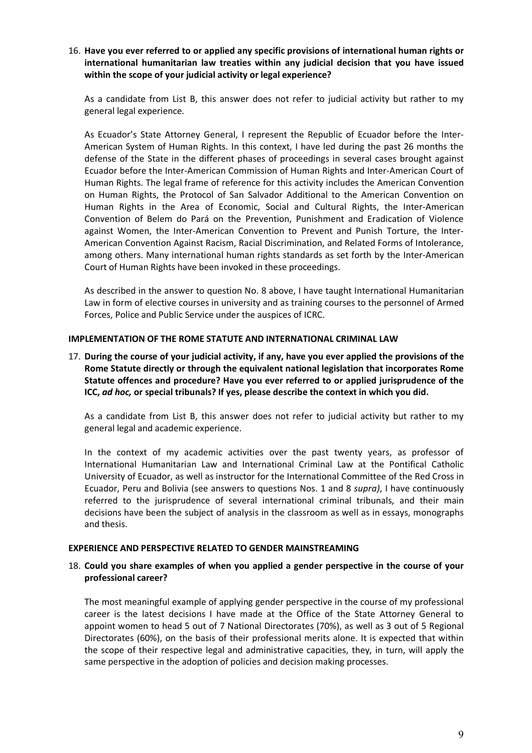16. **Have you ever referred to or applied any specific provisions of international human rights or international humanitarian law treaties within any judicial decision that you have issued within the scope of your judicial activity or legal experience?**

As a candidate from List B, this answer does not refer to judicial activity but rather to my general legal experience.

As Ecuador's State Attorney General, I represent the Republic of Ecuador before the Inter-American System of Human Rights. In this context, I have led during the past 26 months the defense of the State in the different phases of proceedings in several cases brought against Ecuador before the Inter-American Commission of Human Rights and Inter-American Court of Human Rights. The legal frame of reference for this activity includes the American Convention on Human Rights, the Protocol of San Salvador Additional to the American Convention on Human Rights in the Area of Economic, Social and Cultural Rights, the Inter-American Convention of Belem do Pará on the Prevention, Punishment and Eradication of Violence against Women, the Inter-American Convention to Prevent and Punish Torture, the Inter-American Convention Against Racism, Racial Discrimination, and Related Forms of Intolerance, among others. Many international human rights standards as set forth by the Inter-American Court of Human Rights have been invoked in these proceedings.

As described in the answer to question No. 8 above, I have taught International Humanitarian Law in form of elective courses in university and as training courses to the personnel of Armed Forces, Police and Public Service under the auspices of ICRC.

## **IMPLEMENTATION OF THE ROME STATUTE AND INTERNATIONAL CRIMINAL LAW**

17. **During the course of your judicial activity, if any, have you ever applied the provisions of the Rome Statute directly or through the equivalent national legislation that incorporates Rome Statute offences and procedure? Have you ever referred to or applied jurisprudence of the ICC,** *ad hoc,* **or special tribunals? If yes, please describe the context in which you did.**

As a candidate from List B, this answer does not refer to judicial activity but rather to my general legal and academic experience.

In the context of my academic activities over the past twenty years, as professor of International Humanitarian Law and International Criminal Law at the Pontifical Catholic University of Ecuador, as well as instructor for the International Committee of the Red Cross in Ecuador, Peru and Bolivia (see answers to questions Nos. 1 and 8 *supra)*, I have continuously referred to the jurisprudence of several international criminal tribunals, and their main decisions have been the subject of analysis in the classroom as well as in essays, monographs and thesis.

#### **EXPERIENCE AND PERSPECTIVE RELATED TO GENDER MAINSTREAMING**

#### 18. **Could you share examples of when you applied a gender perspective in the course of your professional career?**

The most meaningful example of applying gender perspective in the course of my professional career is the latest decisions I have made at the Office of the State Attorney General to appoint women to head 5 out of 7 National Directorates (70%), as well as 3 out of 5 Regional Directorates (60%), on the basis of their professional merits alone. It is expected that within the scope of their respective legal and administrative capacities, they, in turn, will apply the same perspective in the adoption of policies and decision making processes.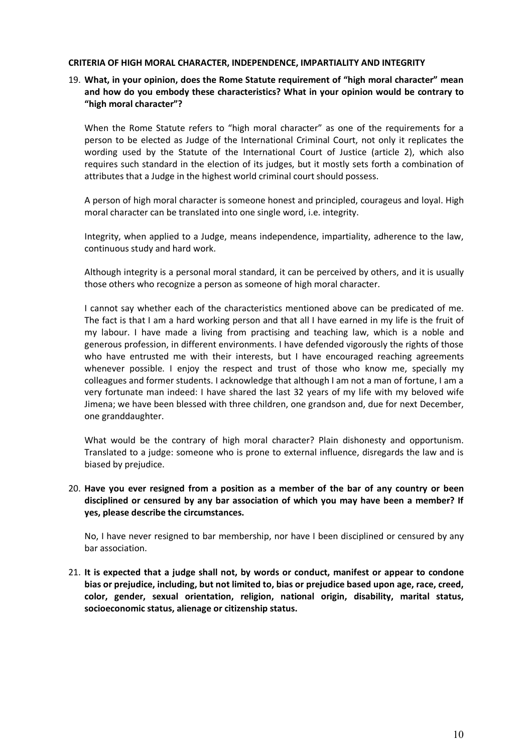#### **CRITERIA OF HIGH MORAL CHARACTER, INDEPENDENCE, IMPARTIALITY AND INTEGRITY**

# 19. **What, in your opinion, does the Rome Statute requirement of "high moral character" mean and how do you embody these characteristics? What in your opinion would be contrary to "high moral character"?**

When the Rome Statute refers to "high moral character" as one of the requirements for a person to be elected as Judge of the International Criminal Court, not only it replicates the wording used by the Statute of the International Court of Justice (article 2), which also requires such standard in the election of its judges, but it mostly sets forth a combination of attributes that a Judge in the highest world criminal court should possess.

A person of high moral character is someone honest and principled, courageus and loyal. High moral character can be translated into one single word, i.e. integrity.

Integrity, when applied to a Judge, means independence, impartiality, adherence to the law, continuous study and hard work.

Although integrity is a personal moral standard, it can be perceived by others, and it is usually those others who recognize a person as someone of high moral character.

I cannot say whether each of the characteristics mentioned above can be predicated of me. The fact is that I am a hard working person and that all I have earned in my life is the fruit of my labour. I have made a living from practising and teaching law, which is a noble and generous profession, in different environments. I have defended vigorously the rights of those who have entrusted me with their interests, but I have encouraged reaching agreements whenever possible. I enjoy the respect and trust of those who know me, specially my colleagues and former students. I acknowledge that although I am not a man of fortune, I am a very fortunate man indeed: I have shared the last 32 years of my life with my beloved wife Jimena; we have been blessed with three children, one grandson and, due for next December, one granddaughter.

What would be the contrary of high moral character? Plain dishonesty and opportunism. Translated to a judge: someone who is prone to external influence, disregards the law and is biased by prejudice.

## 20. **Have you ever resigned from a position as a member of the bar of any country or been disciplined or censured by any bar association of which you may have been a member? If yes, please describe the circumstances.**

No, I have never resigned to bar membership, nor have I been disciplined or censured by any bar association.

21. **It is expected that a judge shall not, by words or conduct, manifest or appear to condone bias or prejudice, including, but not limited to, bias or prejudice based upon age, race, creed, color, gender, sexual orientation, religion, national origin, disability, marital status, socioeconomic status, alienage or citizenship status.**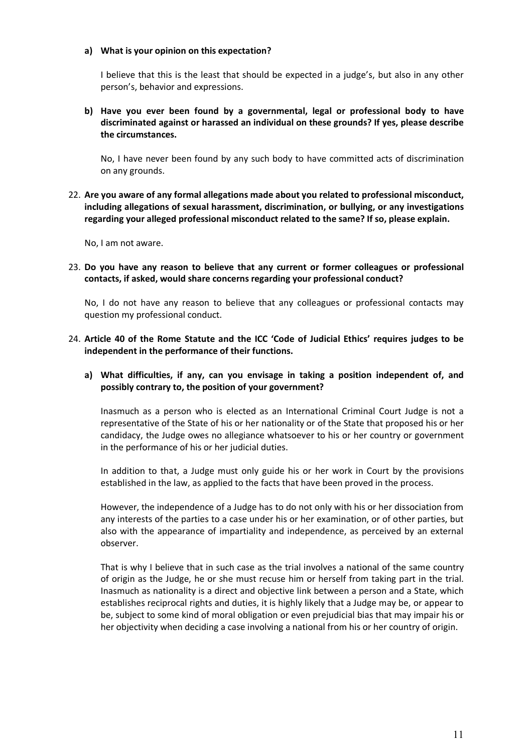## **a) What is your opinion on this expectation?**

I believe that this is the least that should be expected in a judge's, but also in any other person's, behavior and expressions.

**b) Have you ever been found by a governmental, legal or professional body to have discriminated against or harassed an individual on these grounds? If yes, please describe the circumstances.**

No, I have never been found by any such body to have committed acts of discrimination on any grounds.

22. **Are you aware of any formal allegations made about you related to professional misconduct, including allegations of sexual harassment, discrimination, or bullying, or any investigations regarding your alleged professional misconduct related to the same? If so, please explain.**

No, I am not aware.

23. **Do you have any reason to believe that any current or former colleagues or professional contacts, if asked, would share concerns regarding your professional conduct?**

No, I do not have any reason to believe that any colleagues or professional contacts may question my professional conduct.

- 24. **Article 40 of the Rome Statute and the ICC 'Code of Judicial Ethics' requires judges to be independent in the performance of their functions.** 
	- **a) What difficulties, if any, can you envisage in taking a position independent of, and possibly contrary to, the position of your government?**

Inasmuch as a person who is elected as an International Criminal Court Judge is not a representative of the State of his or her nationality or of the State that proposed his or her candidacy, the Judge owes no allegiance whatsoever to his or her country or government in the performance of his or her judicial duties.

In addition to that, a Judge must only guide his or her work in Court by the provisions established in the law, as applied to the facts that have been proved in the process.

However, the independence of a Judge has to do not only with his or her dissociation from any interests of the parties to a case under his or her examination, or of other parties, but also with the appearance of impartiality and independence, as perceived by an external observer.

That is why I believe that in such case as the trial involves a national of the same country of origin as the Judge, he or she must recuse him or herself from taking part in the trial. Inasmuch as nationality is a direct and objective link between a person and a State, which establishes reciprocal rights and duties, it is highly likely that a Judge may be, or appear to be, subject to some kind of moral obligation or even prejudicial bias that may impair his or her objectivity when deciding a case involving a national from his or her country of origin.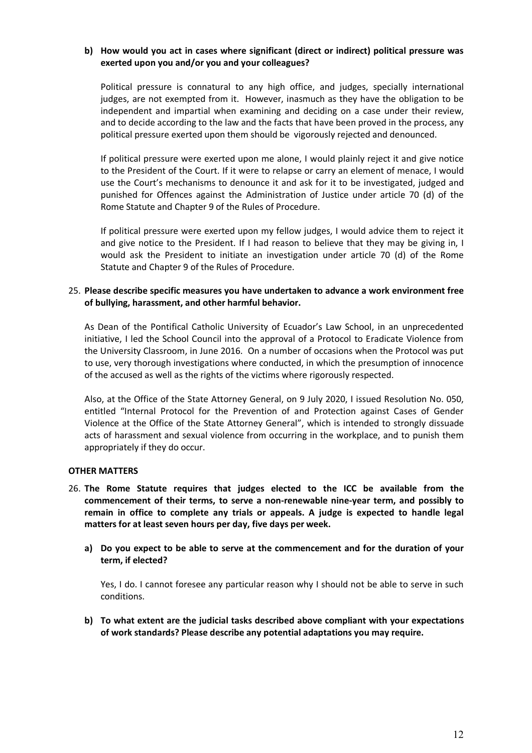## **b) How would you act in cases where significant (direct or indirect) political pressure was exerted upon you and/or you and your colleagues?**

Political pressure is connatural to any high office, and judges, specially international judges, are not exempted from it. However, inasmuch as they have the obligation to be independent and impartial when examining and deciding on a case under their review, and to decide according to the law and the facts that have been proved in the process, any political pressure exerted upon them should be vigorously rejected and denounced.

If political pressure were exerted upon me alone, I would plainly reject it and give notice to the President of the Court. If it were to relapse or carry an element of menace, I would use the Court's mechanisms to denounce it and ask for it to be investigated, judged and punished for Offences against the Administration of Justice under article 70 (d) of the Rome Statute and Chapter 9 of the Rules of Procedure.

If political pressure were exerted upon my fellow judges, I would advice them to reject it and give notice to the President. If I had reason to believe that they may be giving in, I would ask the President to initiate an investigation under article 70 (d) of the Rome Statute and Chapter 9 of the Rules of Procedure.

## 25. **Please describe specific measures you have undertaken to advance a work environment free of bullying, harassment, and other harmful behavior.**

As Dean of the Pontifical Catholic University of Ecuador's Law School, in an unprecedented initiative, I led the School Council into the approval of a Protocol to Eradicate Violence from the University Classroom, in June 2016. On a number of occasions when the Protocol was put to use, very thorough investigations where conducted, in which the presumption of innocence of the accused as well as the rights of the victims where rigorously respected.

Also, at the Office of the State Attorney General, on 9 July 2020, I issued Resolution No. 050, entitled "Internal Protocol for the Prevention of and Protection against Cases of Gender Violence at the Office of the State Attorney General", which is intended to strongly dissuade acts of harassment and sexual violence from occurring in the workplace, and to punish them appropriately if they do occur.

## **OTHER MATTERS**

- 26. **The Rome Statute requires that judges elected to the ICC be available from the commencement of their terms, to serve a non-renewable nine-year term, and possibly to remain in office to complete any trials or appeals. A judge is expected to handle legal matters for at least seven hours per day, five days per week.**
	- **a) Do you expect to be able to serve at the commencement and for the duration of your term, if elected?**

Yes, I do. I cannot foresee any particular reason why I should not be able to serve in such conditions.

**b) To what extent are the judicial tasks described above compliant with your expectations of work standards? Please describe any potential adaptations you may require.**